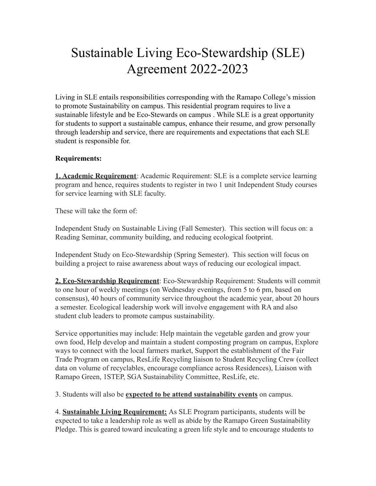## Sustainable Living Eco-Stewardship (SLE) Agreement 2022-2023

Living in SLE entails responsibilities corresponding with the Ramapo College's mission to promote Sustainability on campus. This residential program requires to live a sustainable lifestyle and be Eco-Stewards on campus . While SLE is a great opportunity for students to support a sustainable campus, enhance their resume, and grow personally through leadership and service, there are requirements and expectations that each SLE student is responsible for.

## **Requirements:**

**1. Academic Requirement**: Academic Requirement: SLE is a complete service learning program and hence, requires students to register in two 1 unit Independent Study courses for service learning with SLE faculty.

These will take the form of:

Independent Study on Sustainable Living (Fall Semester). This section will focus on: a Reading Seminar, community building, and reducing ecological footprint.

Independent Study on Eco-Stewardship (Spring Semester). This section will focus on building a project to raise awareness about ways of reducing our ecological impact.

**2. Eco-Stewardship Requirement**: Eco-Stewardship Requirement: Students will commit to one hour of weekly meetings (on Wednesday evenings, from 5 to 6 pm, based on consensus), 40 hours of community service throughout the academic year, about 20 hours a semester. Ecological leadership work will involve engagement with RA and also student club leaders to promote campus sustainability.

Service opportunities may include: Help maintain the vegetable garden and grow your own food, Help develop and maintain a student composting program on campus, Explore ways to connect with the local farmers market, Support the establishment of the Fair Trade Program on campus, ResLife Recycling liaison to Student Recycling Crew (collect data on volume of recyclables, encourage compliance across Residences), Liaison with Ramapo Green, 1STEP, SGA Sustainability Committee, ResLife, etc.

3. Students will also be **expected to be attend sustainability events** on campus.

4. **Sustainable Living Requirement:** As SLE Program participants, students will be expected to take a leadership role as well as abide by the Ramapo Green Sustainability Pledge. This is geared toward inculcating a green life style and to encourage students to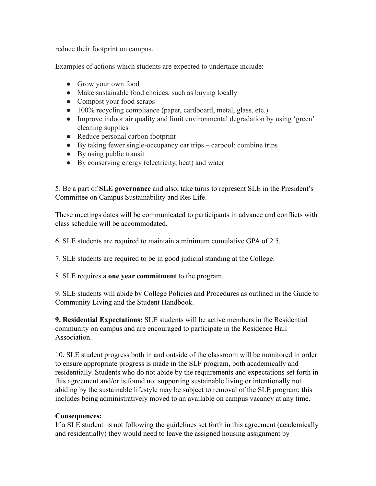reduce their footprint on campus.

Examples of actions which students are expected to undertake include:

- Grow your own food
- Make sustainable food choices, such as buying locally
- Compost your food scraps
- 100% recycling compliance (paper, cardboard, metal, glass, etc.)
- Improve indoor air quality and limit environmental degradation by using 'green' cleaning supplies
- Reduce personal carbon footprint
- By taking fewer single-occupancy car trips carpool; combine trips
- $\bullet$  By using public transit
- By conserving energy (electricity, heat) and water

5. Be a part of **SLE governance** and also, take turns to represent SLE in the President's Committee on Campus Sustainability and Res Life.

These meetings dates will be communicated to participants in advance and conflicts with class schedule will be accommodated.

6. SLE students are required to maintain a minimum cumulative GPA of 2.5.

7. SLE students are required to be in good judicial standing at the College.

8. SLE requires a **one year commitment** to the program.

9. SLE students will abide by College Policies and Procedures as outlined in the Guide to Community Living and the Student Handbook.

**9. Residential Expectations:** SLE students will be active members in the Residential community on campus and are encouraged to participate in the Residence Hall **Association** 

10. SLE student progress both in and outside of the classroom will be monitored in order to ensure appropriate progress is made in the SLF program, both academically and residentially. Students who do not abide by the requirements and expectations set forth in this agreement and/or is found not supporting sustainable living or intentionally not abiding by the sustainable lifestyle may be subject to removal of the SLE program; this includes being administratively moved to an available on campus vacancy at any time.

## **Consequences:**

If a SLE student is not following the guidelines set forth in this agreement (academically and residentially) they would need to leave the assigned housing assignment by